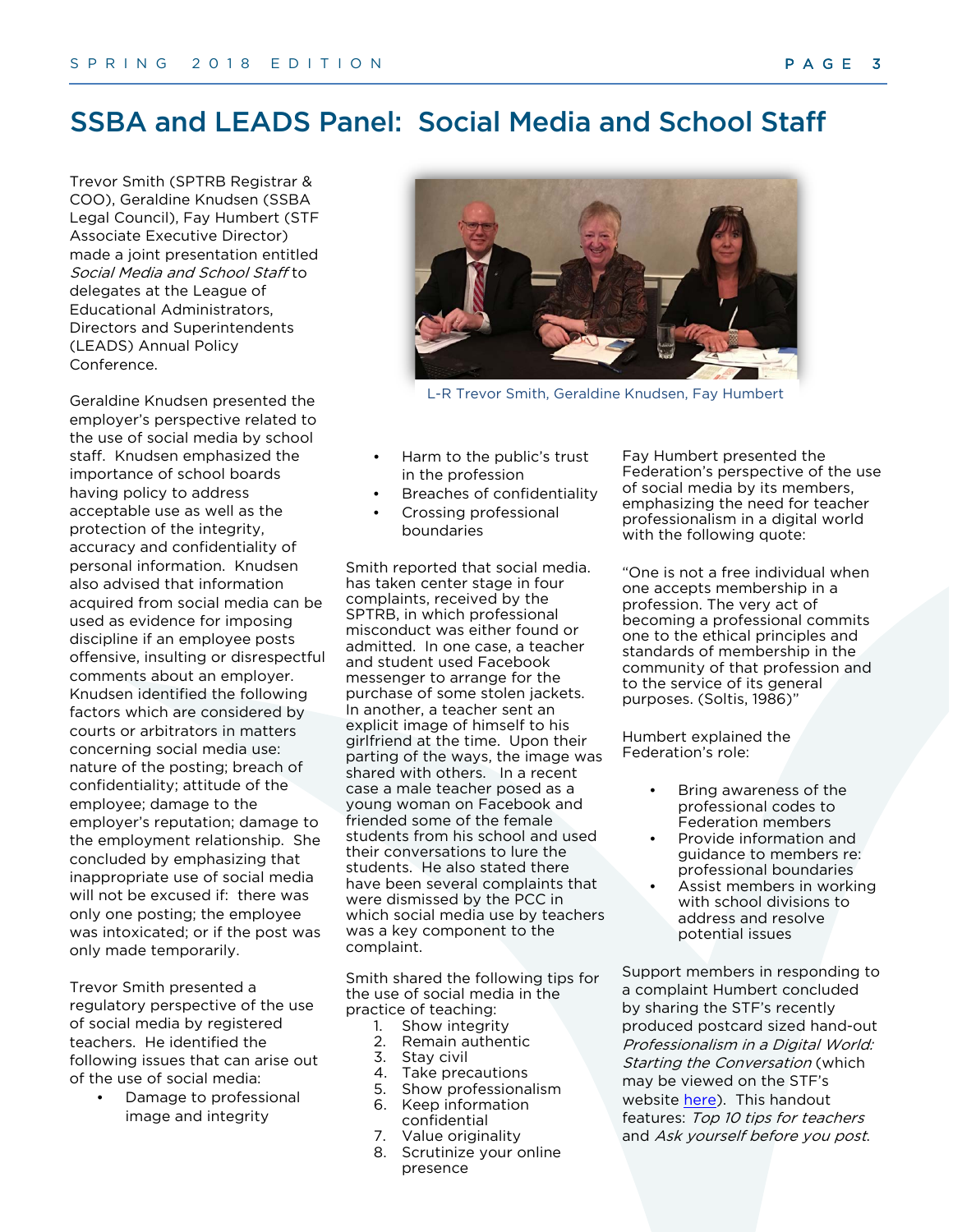# 3DBOGHOD66HWGHOD(6 HVPpGLDVVRFLDHWOH **SHUVRQOVFRODLUH**

Trevor Smith (registraire et directeur général de la CREPS), Geraldine Knudsen (conseillère juridique de la SSBA) et Fay Humbert (directrice adjointe de la FES) ont présenté conjointement sur Les médias sociaux et le personnel scolaire aux délégués de la conférence annuelle sur les politiques de la League of Educational Administrators, Directors and Superintendents (LEADS).

sociaux peuvent être utilisés en tant misconduct was either found or Geraldine Knudsen a présenté la perspective de l'employeur sur l'utilisation des médias sociaux par le personnel scolaire. Mme Knudsen a misé sur l'importance du développement de politiques par les conseils scolaires pour adresser l'utilisation inacceptable ainsi que la protection de l'intégrité, la précision et la nature confidentielle des renseignements personnels. Mme Knudsen a aussi souligné que les informations acquises des médias que preuves dans l'imposition de discipline dans le cas où un(e) employé(e) afficherait des commentaires offensifs, insultants ou irrespectueux au sujet d'un employeur. Mme Knudsen identifie les facteurs suivants qui sont considérés par la cour ou par les médiateurs dans des cas concernant l'utilisation des médias sociaux : la nature du message publié; la violation de confidentialité; l'attitude de l'employé; les dommages à la réputation de l'employeur; les dommages à la relation d'emploi. Elle a conclu la présentation en soulignant que l'utilisation inappropriée des médias sociaux ne sera pas excusée si : il n'y avait qu'un seul message publié; l'employé(e) était intoxiqué, ou si le message n'avait été publié que temporairement.

• Damage to professional image and integrity Trevor Smith a présenté sur la perspective de la règlementation sur l'utilisation des médias sociaux par les enseignant(e)s enregistré(e)s. Il a identifié les enjeux suivants qui risquent de faire surface lors de l'utilisation des médias söciaux :

L-R Trevor Smith, Geraldine Knudsen, Fay Humbert

- Harm to the public's trust in the profession
- Breaches of confidentiality
- Crossing professional boundaries

Smith reported that social media. has taken center stage in four complaints, received by the SPTRB, in which professional admitted. In one case, a teacher and student used Facebook messenger to arrange for the purchase of some stolen jackets. In another, a teacher sent an explicit image of himself to his girlfriend at the time. Upon their parting of the ways, the image was shared with others. In a recent case a male teacher posed as a young woman on Facebook and friended some of the female students from his school and used their conversations to lure the students. He also stated there have been several complaints that were dismissed by the PCC in which social media use by teachers was a key component to the complaint.

Smith shared the following tips for the use of social media in the practice of teaching:

- 1. Show integrity
- 2. Remain authentic
- 3. Stay civil
- 4. Take precautions
- 5. Show professionalism
- 6. Keep information confidential
- 7. Value originality
- 8. Scrutinize your online presence

Fay Humbert presented the Federation's perspective of the use of social media by its members, emphasizing the need for teacher professionalism in a digital world with the following quote:

"One is not a free individual when one accepts membership in a profession. The very act of becoming a professional commits one to the ethical principles and standards of membership in the community of that profession and to the service of its general purposes. (Soltis, 1986)"

Humbert explained the Federation's role:

- Bring awareness of the professional codes to Federation members
- Provide information and guidance to members re: professional boundaries
- Assist members in working with school divisions to address and resolve potential issues

Support members in responding to a complaint Humbert concluded by sharing the STF's recently produced postcard sized hand-out Professionalism in a Digital World: Starting the Conversation (which may be viewed on the STF's website [here\)](https://www.stf.sk.ca/sites/default/files/professionalism_in_digital_world_web.pdf). This handout features: Top 10 tips for teachers and Ask yourself before you post.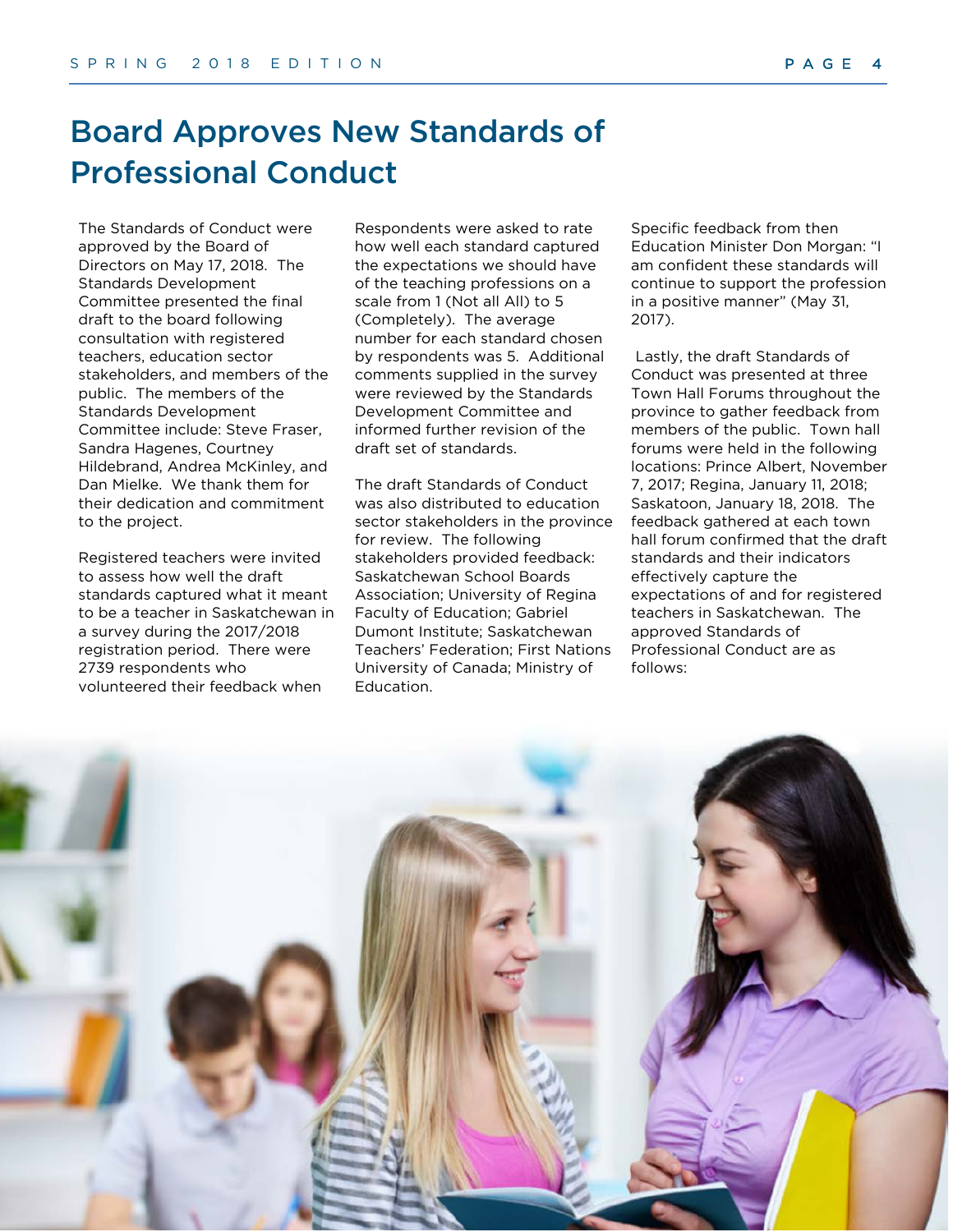# Board Approves New Standards of Professional Conduct

The Standards of Conduct were approved by the Board of Directors on May 17, 2018. The Standards Development Committee presented the final draft to the board following consultation with registered teachers, education sector stakeholders, and members of the public. The members of the Standards Development Committee include: Steve Fraser, Sandra Hagenes, Courtney Hildebrand, Andrea McKinley, and Dan Mielke. We thank them for their dedication and commitment to the project.

Registered teachers were invited to assess how well the draft standards captured what it meant to be a teacher in Saskatchewan in a survey during the 2017/2018 registration period. There were 2739 respondents who volunteered their feedback when

Respondents were asked to rate how well each standard captured the expectations we should have of the teaching professions on a scale from 1 (Not all All) to 5 (Completely). The average number for each standard chosen by respondents was 5. Additional comments supplied in the survey were reviewed by the Standards Development Committee and informed further revision of the draft set of standards.

The draft Standards of Conduct was also distributed to education sector stakeholders in the province for review. The following stakeholders provided feedback: Saskatchewan School Boards Association; University of Regina Faculty of Education; Gabriel Dumont Institute; Saskatchewan Teachers' Federation; First Nations University of Canada; Ministry of Education.

Specific feedback from then Education Minister Don Morgan: "I am confident these standards will continue to support the profession in a positive manner" (May 31, 2017).

Lastly, the draft Standards of Conduct was presented at three Town Hall Forums throughout the province to gather feedback from members of the public. Town hall forums were held in the following locations: Prince Albert, November 7, 2017; Regina, January 11, 2018; Saskatoon, January 18, 2018. The feedback gathered at each town hall forum confirmed that the draft standards and their indicators effectively capture the expectations of and for registered teachers in Saskatchewan. The approved Standards of Professional Conduct are as follows:

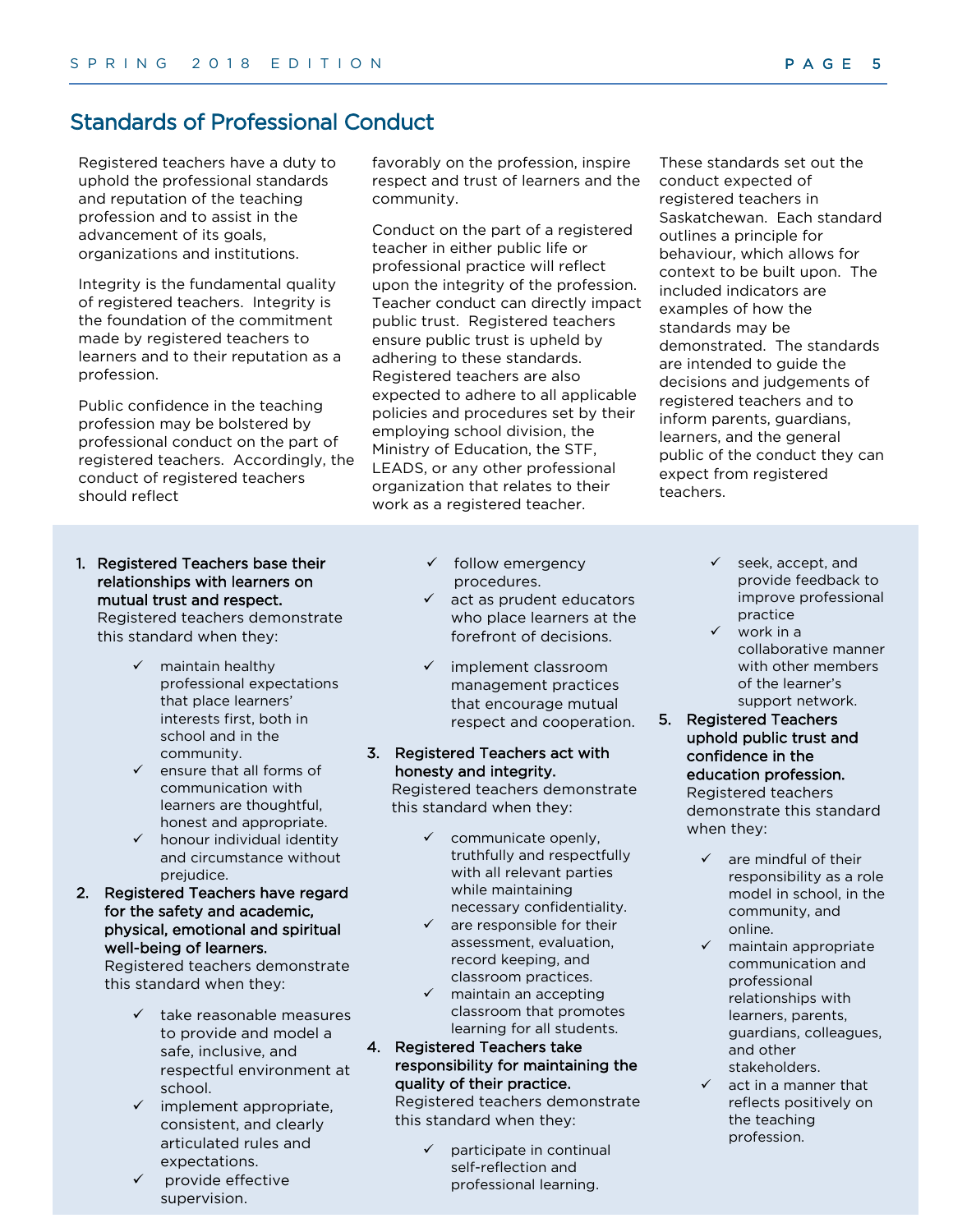### Standards of Professional Conduct

Registered teachers have a duty to uphold the professional standards and reputation of the teaching profession and to assist in the advancement of its goals, organizations and institutions.

Integrity is the fundamental quality of registered teachers. Integrity is the foundation of the commitment made by registered teachers to learners and to their reputation as a profession.

Public confidence in the teaching profession may be bolstered by professional conduct on the part of registered teachers. Accordingly, the conduct of registered teachers should reflect

- 1. Registered Teachers base their relationships with learners on mutual trust and respect. Registered teachers demonstrate this standard when they:
	- $\checkmark$  maintain healthy professional expectations that place learners' interests first, both in school and in the community.
	- $\checkmark$  ensure that all forms of communication with learners are thoughtful, honest and appropriate.
	- $\checkmark$  honour individual identity and circumstance without prejudice.
- 2. Registered Teachers have regard for the safety and academic, physical, emotional and spiritual well-being of learners.

Registered teachers demonstrate this standard when they:

- take reasonable measures to provide and model a safe, inclusive, and respectful environment at school.
- $\checkmark$  implement appropriate, consistent, and clearly articulated rules and expectations.
- provide effective supervision.

favorably on the profession, inspire respect and trust of learners and the community.

Conduct on the part of a registered teacher in either public life or professional practice will reflect upon the integrity of the profession. Teacher conduct can directly impact public trust. Registered teachers ensure public trust is upheld by adhering to these standards. Registered teachers are also expected to adhere to all applicable policies and procedures set by their employing school division, the Ministry of Education, the STF, LEADS, or any other professional organization that relates to their work as a registered teacher.

- $\checkmark$  follow emergency procedures.
- $\checkmark$  act as prudent educators who place learners at the forefront of decisions.
- $\checkmark$  implement classroom management practices that encourage mutual respect and cooperation.

#### 3. Registered Teachers act with honesty and integrity.

Registered teachers demonstrate this standard when they:

- $\checkmark$  communicate openly, truthfully and respectfully with all relevant parties while maintaining necessary confidentiality.
- $\checkmark$  are responsible for their assessment, evaluation, record keeping, and classroom practices.
- $\checkmark$  maintain an accepting classroom that promotes learning for all students.
- 4. Registered Teachers take responsibility for maintaining the quality of their practice.

Registered teachers demonstrate this standard when they:

> participate in continual self-reflection and professional learning.

These standards set out the conduct expected of registered teachers in Saskatchewan. Each standard outlines a principle for behaviour, which allows for context to be built upon. The included indicators are examples of how the standards may be demonstrated. The standards are intended to guide the decisions and judgements of registered teachers and to inform parents, guardians, learners, and the general public of the conduct they can expect from registered teachers.

- $\checkmark$  seek, accept, and provide feedback to improve professional practice
- $\checkmark$  work in a collaborative manner with other members of the learner's support network.
- 5. Registered Teachers uphold public trust and confidence in the education profession. Registered teachers

demonstrate this standard when they:

- $\checkmark$  are mindful of their responsibility as a role model in school, in the community, and online.
- maintain appropriate communication and professional relationships with learners, parents, guardians, colleagues, and other stakeholders.
- act in a manner that reflects positively on the teaching profession.